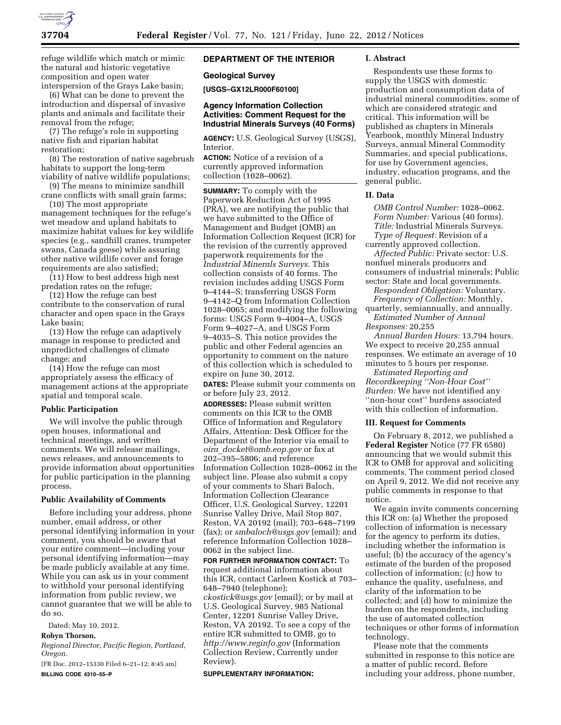

refuge wildlife which match or mimic the natural and historic vegetative composition and open water interspersion of the Grays Lake basin;

(6) What can be done to prevent the introduction and dispersal of invasive plants and animals and facilitate their removal from the refuge;

(7) The refuge's role in supporting native fish and riparian habitat restoration;

(8) The restoration of native sagebrush habitats to support the long-term viability of native wildlife populations;

(9) The means to minimize sandhill crane conflicts with small grain farms;

(10) The most appropriate management techniques for the refuge's wet meadow and upland habitats to maximize habitat values for key wildlife species (e.g., sandhill cranes, trumpeter swans, Canada geese) while assuring other native wildlife cover and forage requirements are also satisfied;

(11) How to best address high nest predation rates on the refuge;

(12) How the refuge can best contribute to the conservation of rural character and open space in the Grays Lake basin;

(13) How the refuge can adaptively manage in response to predicted and unpredicted challenges of climate change; and

(14) How the refuge can most appropriately assess the efficacy of management actions at the appropriate spatial and temporal scale.

### **Public Participation**

We will involve the public through open houses, informational and technical meetings, and written comments. We will release mailings, news releases, and announcements to provide information about opportunities for public participation in the planning process.

#### **Public Availability of Comments**

Before including your address, phone number, email address, or other personal identifying information in your comment, you should be aware that your entire comment—including your personal identifying information—may be made publicly available at any time. While you can ask us in your comment to withhold your personal identifying information from public review, we cannot guarantee that we will be able to do so.

Dated: May 10, 2012.

### **Robyn Thorson,**

*Regional Director, Pacific Region, Portland, Oregon.* 

[FR Doc. 2012–15330 Filed 6–21–12; 8:45 am] **BILLING CODE 4310–55–P** 

# **DEPARTMENT OF THE INTERIOR**

#### **Geological Survey**

**[USGS–GX12LR000F60100]** 

# **Agency Information Collection Activities: Comment Request for the Industrial Minerals Surveys (40 Forms)**

**AGENCY:** U.S. Geological Survey (USGS), Interior.

**ACTION:** Notice of a revision of a currently approved information collection (1028–0062).

**SUMMARY:** To comply with the Paperwork Reduction Act of 1995 (PRA), we are notifying the public that we have submitted to the Office of Management and Budget (OMB) an Information Collection Request (ICR) for the revision of the currently approved paperwork requirements for the *Industrial Minerals Surveys.* This collection consists of 40 forms. The revision includes adding USGS Form 9–4144–S; transferring USGS Form 9–4142–Q from Information Collection 1028–0065; and modifying the following forms: USGS Form 9–4004–A, USGS Form 9–4027–A, and USGS Form 9–4035–S. This notice provides the public and other Federal agencies an opportunity to comment on the nature of this collection which is scheduled to expire on June 30, 2012.

**DATES:** Please submit your comments on or before July 23, 2012.

**ADDRESSES:** Please submit written comments on this ICR to the OMB Office of Information and Regulatory Affairs, Attention: Desk Officer for the Department of the Interior via email to *oira*\_*[docket@omb.eop.gov](mailto:oira_docket@omb.eop.gov)* or fax at 202–395–5806; and reference Information Collection 1028–0062 in the subject line. Please also submit a copy of your comments to Shari Baloch, Information Collection Clearance Officer, U.S. Geological Survey, 12201 Sunrise Valley Drive, Mail Stop 807, Reston, VA 20192 (mail); 703–648–7199 (fax); or *[smbaloch@usgs.gov](mailto:smbaloch@usgs.gov)* (email); and reference Information Collection 1028– 0062 in the subject line.

**FOR FURTHER INFORMATION CONTACT:** To request additional information about this ICR, contact Carleen Kostick at 703– 648–7940 (telephone); *[ckostick@usgs.gov](mailto:ckostick@usgs.gov)* (email); or by mail at U.S. Geological Survey, 985 National Center, 12201 Sunrise Valley Drive, Reston, VA 20192. To see a copy of the entire ICR submitted to OMB, go to *<http://www.reginfo.gov>* (Information Collection Review, Currently under Review).

#### **SUPPLEMENTARY INFORMATION:**

#### **I. Abstract**

Respondents use these forms to supply the USGS with domestic production and consumption data of industrial mineral commodities, some of which are considered strategic and critical. This information will be published as chapters in Minerals Yearbook, monthly Mineral Industry Surveys, annual Mineral Commodity Summaries, and special publications, for use by Government agencies, industry, education programs, and the general public.

# **II. Data**

*OMB Control Number:* 1028–0062. *Form Number:* Various (40 forms). *Title:* Industrial Minerals Surveys. *Type of Request:* Revision of a currently approved collection.

*Affected Public:* Private sector: U.S. nonfuel minerals producers and consumers of industrial minerals; Public sector: State and local governments.

*Respondent Obligation:* Voluntary. *Frequency of Collection:* Monthly, quarterly, semiannually, and annually.

*Estimated Number of Annual Responses:* 20,255

*Annual Burden Hours:* 13,794 hours. We expect to receive 20,255 annual responses. We estimate an average of 10 minutes to 5 hours per response.

*Estimated Reporting and Recordkeeping ''Non-Hour Cost'' Burden:* We have not identified any ''non-hour cost'' burdens associated with this collection of information.

#### **III. Request for Comments**

On February 8, 2012, we published a **Federal Register** Notice (77 FR 6580) announcing that we would submit this ICR to OMB for approval and soliciting comments. The comment period closed on April 9, 2012. We did not receive any public comments in response to that notice.

We again invite comments concerning this ICR on: (a) Whether the proposed collection of information is necessary for the agency to perform its duties, including whether the information is useful; (b) the accuracy of the agency's estimate of the burden of the proposed collection of information; (c) how to enhance the quality, usefulness, and clarity of the information to be collected; and (d) how to minimize the burden on the respondents, including the use of automated collection techniques or other forms of information technology.

Please note that the comments submitted in response to this notice are a matter of public record. Before including your address, phone number,